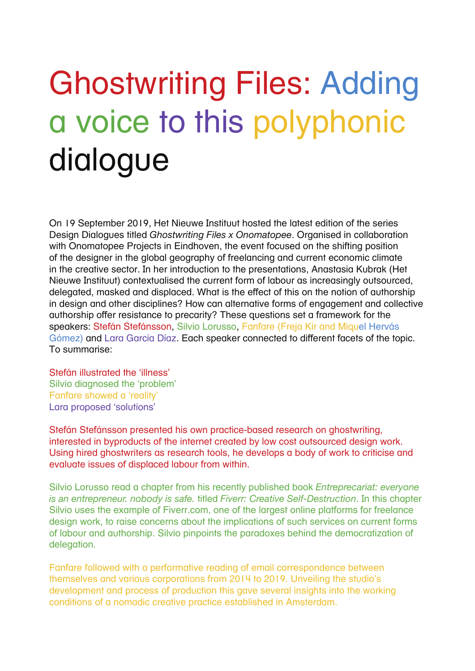# Ghostwriting Files: Adding a voice to this polyphonic dialogue

On 19 September 2019, Het Nieuwe Instituut hosted the latest edition of the series Design Dialogues titled *Ghostwriting Files x Onomatopee*. Organised in collaboration with Onomatopee Projects in Eindhoven, the event focused on the shifting position of the designer in the global geography of freelancing and current economic climate in the creative sector. In her introduction to the presentations, Anastasia Kubrak (Het Nieuwe Instituut) contextualised the current form of labour as increasingly outsourced, delegated, masked and displaced. What is the effect of this on the notion of authorship in design and other disciplines? How can alternative forms of engagement and collective authorship offer resistance to precarity? These questions set a framework for the speakers: Stefán Stefánsson, Silvio Lorusso, Fanfare (Freja Kir and Miquel Hervás Gómez) and Lara García Díaz. Each speaker connected to different facets of the topic. To summarise:

Stefán illustrated the 'illness' Silvio diagnosed the 'problem' Fanfare showed a 'reality' Lara proposed 'solutions'

Stefán Stefánsson presented his own practice-based research on ghostwriting, interested in byproducts of the internet created by low cost outsourced design work. Using hired ghostwriters as research tools, he develops a body of work to criticise and evaluate issues of displaced labour from within.

Silvio Lorusso read a chapter from his recently published book *Entreprecariat: everyone is an entrepreneur. nobody is safe.* titled *Fiverr: Creative Self-Destruction*. In this chapter Silvio uses the example of Fiverr.com, one of the largest online platforms for freelance design work, to raise concerns about the implications of such services on current forms of labour and authorship. Silvio pinpoints the paradoxes behind the democratization of delegation.

Fanfare followed with a performative reading of email correspondence between themselves and various corporations from 2014 to 2019. Unveiling the studio's development and process of production this gave several insights into the working conditions of a nomadic creative practice established in Amsterdam.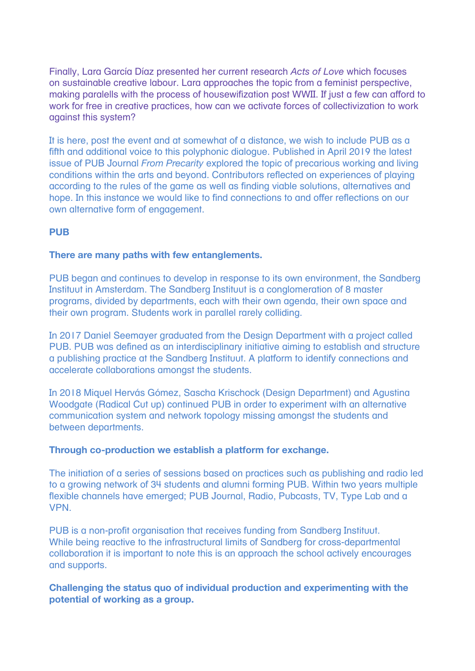Finally, Lara García Díaz presented her current research *Acts of Love* which focuses on sustainable creative labour. Lara approaches the topic from a feminist perspective, making paralells with the process of housewifization post WWII. If just a few can afford to work for free in creative practices, how can we activate forces of collectivization to work against this system?

It is here, post the event and at somewhat of a distance, we wish to include PUB as a fifth and additional voice to this polyphonic dialogue. Published in April 2019 the latest issue of PUB Journal *From Precarity* explored the topic of precarious working and living conditions within the arts and beyond. Contributors reflected on experiences of playing according to the rules of the game as well as finding viable solutions, alternatives and hope. In this instance we would like to find connections to and offer reflections on our own alternative form of engagement.

# **PUB**

### **There are many paths with few entanglements.**

PUB began and continues to develop in response to its own environment, the Sandberg Instituut in Amsterdam. The Sandberg Instituut is a conglomeration of 8 master programs, divided by departments, each with their own agenda, their own space and their own program. Students work in parallel rarely colliding.

In 2017 Daniel Seemayer graduated from the Design Department with a project called PUB. PUB was defined as an interdisciplinary initiative aiming to establish and structure a publishing practice at the Sandberg Instituut. A platform to identify connections and accelerate collaborations amongst the students.

In 2018 Miquel Hervás Gómez, Sascha Krischock (Design Department) and Agustina Woodgate (Radical Cut up) continued PUB in order to experiment with an alternative communication system and network topology missing amongst the students and between departments.

#### **Through co-production we establish a platform for exchange.**

The initiation of a series of sessions based on practices such as publishing and radio led to a growing network of 34 students and alumni forming PUB. Within two years multiple flexible channels have emerged; PUB Journal, Radio, Pubcasts, TV, Type Lab and a VPN.

PUB is a non-profit organisation that receives funding from Sandberg Instituut. While being reactive to the infrastructural limits of Sandberg for cross-departmental collaboration it is important to note this is an approach the school actively encourages and supports.

**Challenging the status quo of individual production and experimenting with the potential of working as a group.**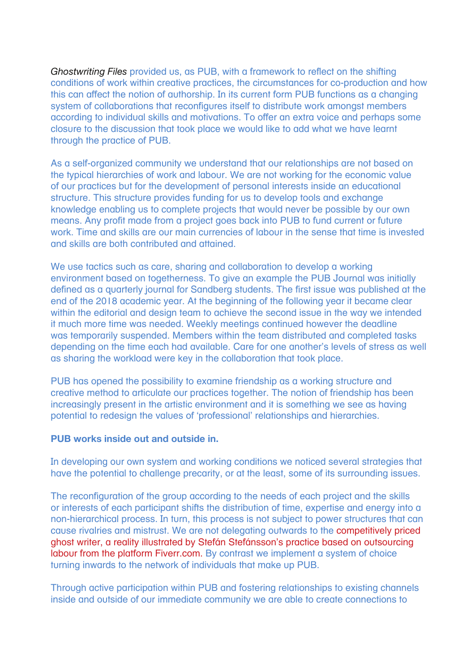*Ghostwriting Files* provided us, as PUB, with a framework to reflect on the shifting conditions of work within creative practices, the circumstances for co-production and how this can affect the notion of authorship. In its current form PUB functions as a changing system of collaborations that reconfigures itself to distribute work amongst members according to individual skills and motivations. To offer an extra voice and perhaps some closure to the discussion that took place we would like to add what we have learnt through the practice of PUB.

As a self-organized community we understand that our relationships are not based on the typical hierarchies of work and labour. We are not working for the economic value of our practices but for the development of personal interests inside an educational structure. This structure provides funding for us to develop tools and exchange knowledge enabling us to complete projects that would never be possible by our own means. Any profit made from a project goes back into PUB to fund current or future work. Time and skills are our main currencies of labour in the sense that time is invested and skills are both contributed and attained.

We use tactics such as care, sharing and collaboration to develop a working environment based on togetherness. To give an example the PUB Journal was initially defined as a quarterly journal for Sandberg students. The first issue was published at the end of the 2018 academic year. At the beginning of the following year it became clear within the editorial and desian team to achieve the second issue in the way we intended it much more time was needed. Weekly meetings continued however the deadline was temporarily suspended. Members within the team distributed and completed tasks depending on the time each had available. Care for one another's levels of stress as well as sharing the workload were key in the collaboration that took place.

PUB has opened the possibility to examine friendship as a working structure and creative method to articulate our practices together. The notion of friendship has been increasingly present in the artistic environment and it is something we see as having potential to redesign the values of 'professional' relationships and hierarchies.

#### **PUB works inside out and outside in.**

In developing our own system and working conditions we noticed several strategies that have the potential to challenge precarity, or at the least, some of its surrounding issues.

The reconfiguration of the group according to the needs of each project and the skills or interests of each participant shifts the distribution of time, expertise and energy into a non-hierarchical process. In turn, this process is not subject to power structures that can cause rivalries and mistrust. We are not delegating outwards to the competitively priced ghost writer, a reality illustrated by Stefán Stefánsson's practice based on outsourcing labour from the platform Fiverr.com. By contrast we implement a system of choice turning inwards to the network of individuals that make up PUB.

Through active participation within PUB and fostering relationships to existing channels inside and outside of our immediate community we are able to create connections to